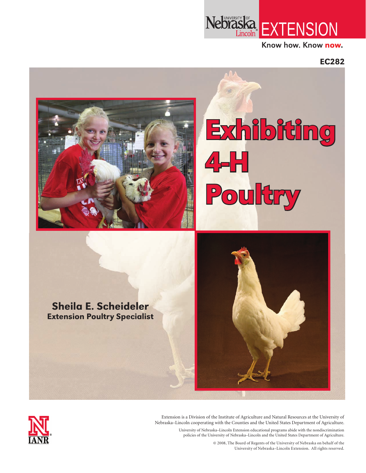

Know how. Know now.

EC282





Extension is a Division of the Institute of Agriculture and Natural Resources at the University of Nebraska–Lincoln cooperating with the Counties and the United States Department of Agriculture.

> University of Nebraska–Lincoln Extension educational programs abide with the nondiscrimination policies of the University of Nebraska–Lincoln and the United States Department of Agriculture.

> > © 2008, The Board of Regents of the University of Nebraska on behalf of the University of Nebraska–Lincoln Extension. All rights reserved.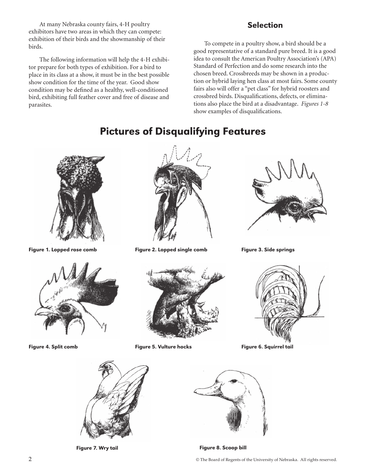At many Nebraska county fairs, 4-H poultry exhibitors have two areas in which they can compete: exhibition of their birds and the showmanship of their birds.

The following information will help the 4-H exhibitor prepare for both types of exhibition. For a bird to place in its class at a show, it must be in the best possible show condition for the time of the year. Good show condition may be defined as a healthy, well-conditioned bird, exhibiting full feather cover and free of disease and parasites.

### Selection

To compete in a poultry show, a bird should be a good representative of a standard pure breed. It is a good idea to consult the American Poultry Association's (APA) Standard of Perfection and do some research into the chosen breed. Crossbreeds may be shown in a production or hybrid laying hen class at most fairs. Some county fairs also will offer a "pet class" for hybrid roosters and crossbred birds. Disqualifications, defects, or eliminations also place the bird at a disadvantage. *Figures 1-8* show examples of disqualifications.

# Pictures of Disqualifying Features







Figure 1. Lopped rose comb Figure 2. Lopped single comb Figure 3. Side springs





Figure 4. Split comb Figure 5. Vulture hocks Figure 6. Squirrel tail







Figure 7. Wry tail **Figure 8. Scoop bill** 

2 © The Board of Regents of the University of Nebraska. All rights reserved.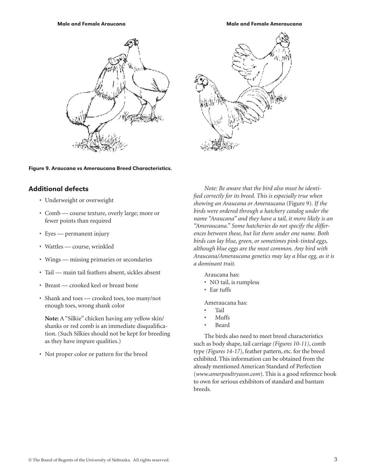Male and Female Araucana Male and Female Ameraucana



#### Figure 9. Araucana vs Ameraucana Breed Characteristics.

#### Additional defects

- • Underweight or overweight
- • Comb course texture, overly large; more or fewer points than required
- Eyes permanent injury
- Wattles course, wrinkled
- Wings missing primaries or secondaries
- Tail main tail feathers absent, sickles absent
- Breast crooked keel or breast bone
- • Shank and toes crooked toes, too many/not enough toes, wrong shank color

 **Note:** A "Silkie" chicken having any yellow skin/ shanks or red comb is an immediate disqualification. (Such Silkies should not be kept for breeding as they have impure qualities.)

• Not proper color or pattern for the breed

*Note: Be aware that the bird also must be identified correctly for its breed. This is especially true when showing an Araucana or Ameraucana* (Figure 9)*. If the birds were ordered through a hatchery catalog under the name "Araucana" and they have a tail, it more likely is an "Ameraucana." Some hatcheries do not specify the differences between these, but list them under one name. Both birds can lay blue, green, or sometimes pink-tinted eggs, although blue eggs are the most common. Any bird with Araucana/Ameraucana genetics may lay a blue egg, as it is a dominant trait.*

Araucana has:

- NO tail, is rumpless
- • Ear tuffs

Ameraucana has:

- **Tail**
- • Muffs
- **Beard**

The birds also need to meet breed characteristics such as body shape, tail carriage *(Figures 10-11)*, comb type *(Figures 14-17)*, feather pattern, etc. for the breed exhibited. This information can be obtained from the already mentioned American Standard of Perfection (*www.amerpoultryassn.com*). This is a good reference book to own for serious exhibitors of standard and bantam breeds.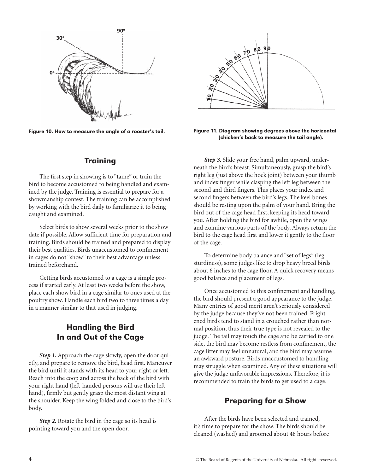

Figure 10. How to measure the angle of a rooster's tail.

### **Training**

The first step in showing is to "tame" or train the bird to become accustomed to being handled and examined by the judge. Training is essential to prepare for a showmanship contest. The training can be accomplished by working with the bird daily to familiarize it to being caught and examined.

Select birds to show several weeks prior to the show date if possible. Allow sufficient time for preparation and training. Birds should be trained and prepared to display their best qualities. Birds unaccustomed to confinement in cages do not "show" to their best advantage unless trained beforehand.

Getting birds accustomed to a cage is a simple process if started early. At least two weeks before the show, place each show bird in a cage similar to ones used at the poultry show. Handle each bird two to three times a day in a manner similar to that used in judging.

## Handling the Bird In and Out of the Cage

*Step 1.* Approach the cage slowly, open the door quietly, and prepare to remove the bird, head first. Maneuver the bird until it stands with its head to your right or left. Reach into the coop and across the back of the bird with your right hand (left-handed persons will use their left hand), firmly but gently grasp the most distant wing at the shoulder. Keep the wing folded and close to the bird's body.

**Step 2.** Rotate the bird in the cage so its head is pointing toward you and the open door.



Figure 11. Diagram showing degrees above the horizontal (chicken's back to measure the tail angle).

*Step 3.* Slide your free hand, palm upward, underneath the bird's breast. Simultaneously, grasp the bird's right leg (just above the hock joint) between your thumb and index finger while clasping the left leg between the second and third fingers. This places your index and second fingers between the bird's legs. The keel bones should be resting upon the palm of your hand. Bring the bird out of the cage head first, keeping its head toward you. After holding the bird for awhile, open the wings and examine various parts of the body. Always return the bird to the cage head first and lower it gently to the floor of the cage.

To determine body balance and "set of legs" (leg sturdiness), some judges like to drop heavy breed birds about 6 inches to the cage floor. A quick recovery means good balance and placement of legs.

Once accustomed to this confinement and handling, the bird should present a good appearance to the judge. Many entries of good merit aren't seriously considered by the judge because they've not been trained. Frightened birds tend to stand in a crouched rather than normal position, thus their true type is not revealed to the judge. The tail may touch the cage and be carried to one side, the bird may become restless from confinement, the cage litter may feel unnatural, and the bird may assume an awkward posture. Birds unaccustomed to handling may struggle when examined. Any of these situations will give the judge unfavorable impressions. Therefore, it is recommended to train the birds to get used to a cage.

### Preparing for a Show

After the birds have been selected and trained, it's time to prepare for the show. The birds should be cleaned (washed) and groomed about 48 hours before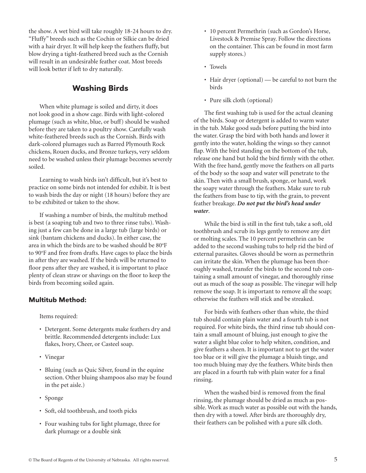the show. A wet bird will take roughly 18-24 hours to dry. "Fluffy" breeds such as the Cochin or Silkie can be dried with a hair dryer. It will help keep the feathers fluffy, but blow drying a tight-feathered breed such as the Cornish will result in an undesirable feather coat. Most breeds will look better if left to dry naturally.

### Washing Birds

When white plumage is soiled and dirty, it does not look good in a show cage. Birds with light-colored plumage (such as white, blue, or buff) should be washed before they are taken to a poultry show. Carefully wash white-feathered breeds such as the Cornish. Birds with dark-colored plumages such as Barred Plymouth Rock chickens, Rouen ducks, and Bronze turkeys, very seldom need to be washed unless their plumage becomes severely soiled.

Learning to wash birds isn't difficult, but it's best to practice on some birds not intended for exhibit. It is best to wash birds the day or night (18 hours) before they are to be exhibited or taken to the show.

If washing a number of birds, the multitub method is best (a soaping tub and two to three rinse tubs). Washing just a few can be done in a large tub (large birds) or sink (bantam chickens and ducks). In either case, the area in which the birds are to be washed should be 80°F to 90°F and free from drafts. Have cages to place the birds in after they are washed. If the birds will be returned to floor pens after they are washed, it is important to place plenty of clean straw or shavings on the floor to keep the birds from becoming soiled again.

#### Multitub Method:

Items required:

- Detergent. Some detergents make feathers dry and brittle. Recommended detergents include: Lux flakes, Ivory, Cheer, or Casteel soap.
- Vinegar
- Bluing (such as Quic Silver, found in the equine section. Other bluing shampoos also may be found in the pet aisle.)
- Sponge
- Soft, old toothbrush, and tooth picks
- Four washing tubs for light plumage, three for dark plumage or a double sink
- 10 percent Permethrin (such as Gordon's Horse, Livestock & Premise Spray. Follow the directions on the container. This can be found in most farm supply stores.)
- Towels
- Hair dryer (optional) be careful to not burn the birds
- Pure silk cloth (optional)

The first washing tub is used for the actual cleaning of the birds. Soap or detergent is added to warm water in the tub. Make good suds before putting the bird into the water. Grasp the bird with both hands and lower it gently into the water, holding the wings so they cannot flap. With the bird standing on the bottom of the tub, release one hand but hold the bird firmly with the other. With the free hand, gently move the feathers on all parts of the body so the soap and water will penetrate to the skin. Then with a small brush, sponge, or hand, work the soapy water through the feathers. Make sure to rub the feathers from base to tip, with the grain, to prevent feather breakage. *Do not put the bird's head under water*.

While the bird is still in the first tub, take a soft, old toothbrush and scrub its legs gently to remove any dirt or molting scales. The 10 percent permethrin can be added to the second washing tubs to help rid the bird of external parasites. Gloves should be worn as permethrin can irritate the skin. When the plumage has been thoroughly washed, transfer the birds to the second tub containing a small amount of vinegar, and thoroughly rinse out as much of the soap as possible. The vinegar will help remove the soap. It is important to remove all the soap; otherwise the feathers will stick and be streaked.

For birds with feathers other than white, the third tub should contain plain water and a fourth tub is not required. For white birds, the third rinse tub should contain a small amount of bluing, just enough to give the water a slight blue color to help whiten, condition, and give feathers a sheen. It is important not to get the water too blue or it will give the plumage a bluish tinge, and too much bluing may dye the feathers. White birds then are placed in a fourth tub with plain water for a final rinsing.

When the washed bird is removed from the final rinsing, the plumage should be dried as much as possible. Work as much water as possible out with the hands, then dry with a towel. After birds are thoroughly dry, their feathers can be polished with a pure silk cloth.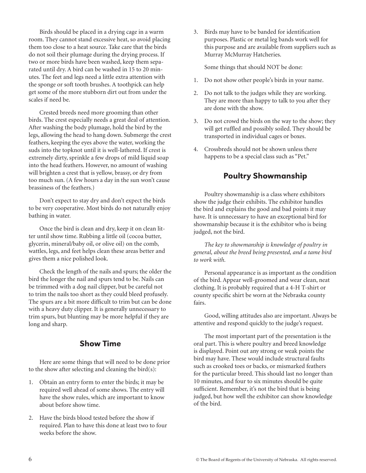Birds should be placed in a drying cage in a warm room. They cannot stand excessive heat, so avoid placing them too close to a heat source. Take care that the birds do not soil their plumage during the drying process. If two or more birds have been washed, keep them separated until dry. A bird can be washed in 15 to 20 minutes. The feet and legs need a little extra attention with the sponge or soft tooth brushes. A toothpick can help get some of the more stubborn dirt out from under the scales if need be.

Crested breeds need more grooming than other birds. The crest especially needs a great deal of attention. After washing the body plumage, hold the bird by the legs, allowing the head to hang down. Submerge the crest feathers, keeping the eyes above the water, working the suds into the topknot until it is well-lathered. If crest is extremely dirty, sprinkle a few drops of mild liquid soap into the head feathers. However, no amount of washing will brighten a crest that is yellow, brassy, or dry from too much sun. (A few hours a day in the sun won't cause brassiness of the feathers.)

Don't expect to stay dry and don't expect the birds to be very cooperative. Most birds do not naturally enjoy bathing in water.

Once the bird is clean and dry, keep it on clean litter until show time. Rubbing a little oil (cocoa butter, glycerin, mineral/baby oil, or olive oil) on the comb, wattles, legs, and feet helps clean these areas better and gives them a nice polished look.

Check the length of the nails and spurs; the older the bird the longer the nail and spurs tend to be. Nails can be trimmed with a dog nail clipper, but be careful not to trim the nails too short as they could bleed profusely. The spurs are a bit more difficult to trim but can be done with a heavy duty clipper. It is generally unnecessary to trim spurs, but blunting may be more helpful if they are long and sharp.

## Show Time

Here are some things that will need to be done prior to the show after selecting and cleaning the bird(s):

- 1. Obtain an entry form to enter the birds; it may be required well ahead of some shows. The entry will have the show rules, which are important to know about before show time.
- 2. Have the birds blood tested before the show if required. Plan to have this done at least two to four weeks before the show.

3. Birds may have to be banded for identification purposes. Plastic or metal leg bands work well for this purpose and are available from suppliers such as Murray McMurray Hatcheries.

Some things that should NOT be done:

- 1. Do not show other people's birds in your name.
- 2. Do not talk to the judges while they are working. They are more than happy to talk to you after they are done with the show.
- 3. Do not crowd the birds on the way to the show; they will get ruffled and possibly soiled. They should be transported in individual cages or boxes.
- 4. Crossbreds should not be shown unless there happens to be a special class such as "Pet."

#### Poultry Showmanship

Poultry showmanship is a class where exhibitors show the judge their exhibits. The exhibitor handles the bird and explains the good and bad points it may have. It is unnecessary to have an exceptional bird for showmanship because it is the exhibitor who is being judged, not the bird.

*The key to showmanship is knowledge of poultry in general, about the breed being presented, and a tame bird to work with.*

Personal appearance is as important as the condition of the bird. Appear well-groomed and wear clean, neat clothing. It is probably required that a 4-H T-shirt or county specific shirt be worn at the Nebraska county fairs.

Good, willing attitudes also are important. Always be attentive and respond quickly to the judge's request.

The most important part of the presentation is the oral part. This is where poultry and breed knowledge is displayed. Point out any strong or weak points the bird may have. These would include structural faults such as crooked toes or backs, or mismarked feathers for the particular breed. This should last no longer than 10 minutes, and four to six minutes should be quite sufficient. Remember, it's not the bird that is being judged, but how well the exhibitor can show knowledge of the bird.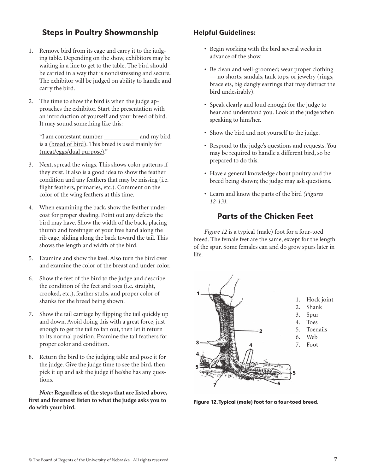## Steps in Poultry Showmanship

- 1. Remove bird from its cage and carry it to the judging table. Depending on the show, exhibitors may be waiting in a line to get to the table. The bird should be carried in a way that is nondistressing and secure. The exhibitor will be judged on ability to handle and carry the bird.
- 2. The time to show the bird is when the judge approaches the exhibitor. Start the presentation with an introduction of yourself and your breed of bird. It may sound something like this:

"I am contestant number \_\_\_\_\_\_\_\_\_\_\_ and my bird is a (breed of bird). This breed is used mainly for (meat/eggs/dual purpose)."

- 3. Next, spread the wings. This shows color patterns if they exist. It also is a good idea to show the feather condition and any feathers that may be missing (i.e. flight feathers, primaries, etc.). Comment on the color of the wing feathers at this time.
- 4. When examining the back, show the feather undercoat for proper shading. Point out any defects the bird may have. Show the width of the back, placing thumb and forefinger of your free hand along the rib cage, sliding along the back toward the tail. This shows the length and width of the bird.
- 5. Examine and show the keel. Also turn the bird over and examine the color of the breast and under color.
- 6. Show the feet of the bird to the judge and describe the condition of the feet and toes (i.e. straight, crooked, etc.), feather stubs, and proper color of shanks for the breed being shown.
- 7. Show the tail carriage by flipping the tail quickly up and down. Avoid doing this with a great force, just enough to get the tail to fan out, then let it return to its normal position. Examine the tail feathers for proper color and condition.
- 8. Return the bird to the judging table and pose it for the judge. Give the judge time to see the bird, then pick it up and ask the judge if he/she has any questions.

*Note:* **Regardless of the steps that are listed above, first and foremost listen to what the judge asks you to do with your bird.**

#### Helpful Guidelines:

- Begin working with the bird several weeks in advance of the show.
- Be clean and well-groomed; wear proper clothing — no shorts, sandals, tank tops, or jewelry (rings, bracelets, big dangly earrings that may distract the bird undesirably).
- Speak clearly and loud enough for the judge to hear and understand you. Look at the judge when speaking to him/her.
- Show the bird and not yourself to the judge.
- Respond to the judge's questions and requests. You may be required to handle a different bird, so be prepared to do this.
- Have a general knowledge about poultry and the breed being shown; the judge may ask questions.
- Learn and know the parts of the bird *(Figures 12-13)*.

## Parts of the Chicken Feet

*Figure 12* is a typical (male) foot for a four-toed breed. The female feet are the same, except for the length of the spur. Some females can and do grow spurs later in life.



Figure 12. Typical (male) foot for a four-toed breed.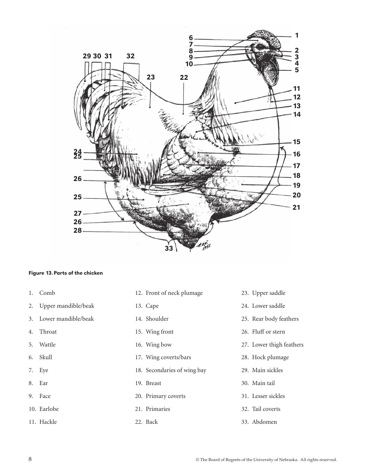

#### Figure 13.Parts of the chicken

- 1. Comb
- 2. Upper mandible/beak
- 3. Lower mandible/beak
- 4. Throat
- 5. Wattle
- 6. Skull
- 7. Eye
- 8. Ear
- 9. Face
- 10. Earlobe
- 11. Hackle
- 12. Front of neck plumage
- 13. Cape
- 14. Shoulder
- 15. Wing front
- 16. Wing bow
- 17. Wing coverts/bars
- 18. Secondaries of wing bay
- 19. Breast
- 20. Primary coverts
- 21. Primaries
- 22. Back
- 23. Upper saddle
- 24. Lower saddle
- 25. Rear body feathers
- 26. Fluff or stern
- 27. Lower thigh feathers
- 28. Hock plumage
- 29. Main sickles
- 30. Main tail
- 31. Lesser sickles
- 32. Tail coverts
- 33. Abdomen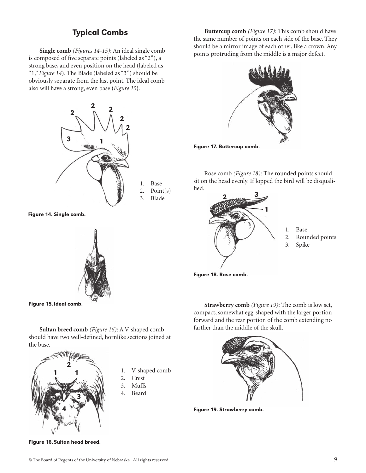### Typical Combs

**Single comb** *(Figures 14-15)*: An ideal single comb is composed of five separate points (labeled as "2"), a strong base, and even position on the head (labeled as "1," *Figure 14*). The Blade (labeled as "3") should be obviously separate from the last point. The ideal comb also will have a strong, even base **(***Figure 15***)**.



1. Base 2. Point(s) 3. Blade

Figure 14. Single comb.



Figure 15.Ideal comb.

**Sultan breed comb** *(Figure 16)*: A V-shaped comb should have two well-defined, hornlike sections joined at the base.



- 1. V-shaped comb
- 2. Crest
- 3. Muffs
- 4. Beard

**Buttercup comb** *(Figure 17)*: This comb should have the same number of points on each side of the base. They should be a mirror image of each other, like a crown. Any points protruding from the middle is a major defect.



Rose comb *(Figure 18)*: The rounded points should sit on the head evenly. If lopped the bird will be disqualified.



- 1. Base
- 2. Rounded points
- 3. Spike

Figure 18. Rose comb.

**Strawberry comb** *(Figure 19)*: The comb is low set, compact, somewhat egg-shaped with the larger portion forward and the rear portion of the comb extending no farther than the middle of the skull.



Figure 19. Strawberry comb.

Figure 16.Sultan head breed.